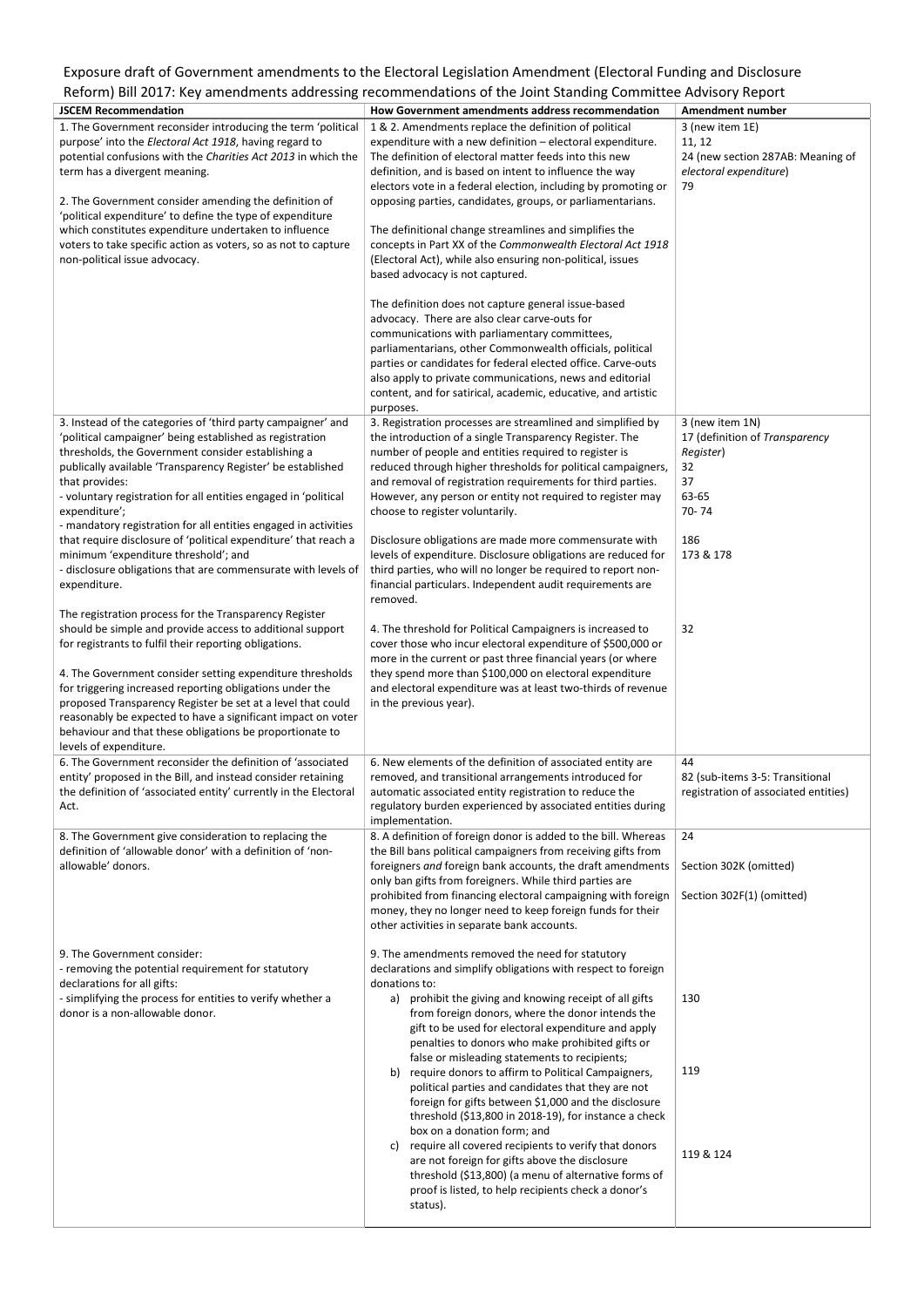## Exposure draft of Government amendments to the Electoral Legislation Amendment (Electoral Funding and Disclosure Reform) Bill 2017: Key amendments addressing recommendations of the Joint Standing Committee Advisory Report

| <b>JSCEM Recommendation</b>                                                                                                                                                                                                                                                                                                                                                                                                                                                                                                                                                                                                                                                                                                                                                                                                                                                                                                                                                                                                                                                                                                                                                                                                                                                                                                                                 | How Government amendments address recommendation                                                                                                                                                                                                                                                                                                                                                                                                                                                                                                                                                                                                                                                                                                                                                                                                                                                                                                                                                                                                                                                                                                                                                                                                                                                                                                                                                                                                                                                                                                                                                                                                                                                                     | <b>Amendment number</b>                                                                                                                                                                                 |
|-------------------------------------------------------------------------------------------------------------------------------------------------------------------------------------------------------------------------------------------------------------------------------------------------------------------------------------------------------------------------------------------------------------------------------------------------------------------------------------------------------------------------------------------------------------------------------------------------------------------------------------------------------------------------------------------------------------------------------------------------------------------------------------------------------------------------------------------------------------------------------------------------------------------------------------------------------------------------------------------------------------------------------------------------------------------------------------------------------------------------------------------------------------------------------------------------------------------------------------------------------------------------------------------------------------------------------------------------------------|----------------------------------------------------------------------------------------------------------------------------------------------------------------------------------------------------------------------------------------------------------------------------------------------------------------------------------------------------------------------------------------------------------------------------------------------------------------------------------------------------------------------------------------------------------------------------------------------------------------------------------------------------------------------------------------------------------------------------------------------------------------------------------------------------------------------------------------------------------------------------------------------------------------------------------------------------------------------------------------------------------------------------------------------------------------------------------------------------------------------------------------------------------------------------------------------------------------------------------------------------------------------------------------------------------------------------------------------------------------------------------------------------------------------------------------------------------------------------------------------------------------------------------------------------------------------------------------------------------------------------------------------------------------------------------------------------------------------|---------------------------------------------------------------------------------------------------------------------------------------------------------------------------------------------------------|
| 1. The Government reconsider introducing the term 'political<br>purpose' into the Electoral Act 1918, having regard to<br>potential confusions with the Charities Act 2013 in which the<br>term has a divergent meaning.<br>2. The Government consider amending the definition of<br>'political expenditure' to define the type of expenditure<br>which constitutes expenditure undertaken to influence<br>voters to take specific action as voters, so as not to capture<br>non-political issue advocacy.                                                                                                                                                                                                                                                                                                                                                                                                                                                                                                                                                                                                                                                                                                                                                                                                                                                  | 1 & 2. Amendments replace the definition of political<br>expenditure with a new definition - electoral expenditure.<br>The definition of electoral matter feeds into this new<br>definition, and is based on intent to influence the way<br>electors vote in a federal election, including by promoting or<br>opposing parties, candidates, groups, or parliamentarians.<br>The definitional change streamlines and simplifies the<br>concepts in Part XX of the Commonwealth Electoral Act 1918<br>(Electoral Act), while also ensuring non-political, issues<br>based advocacy is not captured.                                                                                                                                                                                                                                                                                                                                                                                                                                                                                                                                                                                                                                                                                                                                                                                                                                                                                                                                                                                                                                                                                                                    | 3 (new item 1E)<br>11, 12<br>24 (new section 287AB: Meaning of<br>electoral expenditure)<br>79                                                                                                          |
| 3. Instead of the categories of 'third party campaigner' and<br>'political campaigner' being established as registration<br>thresholds, the Government consider establishing a<br>publically available 'Transparency Register' be established<br>that provides:<br>- voluntary registration for all entities engaged in 'political<br>expenditure';<br>- mandatory registration for all entities engaged in activities<br>that require disclosure of 'political expenditure' that reach a<br>minimum 'expenditure threshold'; and<br>- disclosure obligations that are commensurate with levels of<br>expenditure.<br>The registration process for the Transparency Register<br>should be simple and provide access to additional support<br>for registrants to fulfil their reporting obligations.<br>4. The Government consider setting expenditure thresholds<br>for triggering increased reporting obligations under the<br>proposed Transparency Register be set at a level that could<br>reasonably be expected to have a significant impact on voter<br>behaviour and that these obligations be proportionate to<br>levels of expenditure.<br>6. The Government reconsider the definition of 'associated<br>entity' proposed in the Bill, and instead consider retaining<br>the definition of 'associated entity' currently in the Electoral<br>Act. | The definition does not capture general issue-based<br>advocacy. There are also clear carve-outs for<br>communications with parliamentary committees,<br>parliamentarians, other Commonwealth officials, political<br>parties or candidates for federal elected office. Carve-outs<br>also apply to private communications, news and editorial<br>content, and for satirical, academic, educative, and artistic<br>purposes.<br>3. Registration processes are streamlined and simplified by<br>the introduction of a single Transparency Register. The<br>number of people and entities required to register is<br>reduced through higher thresholds for political campaigners,<br>and removal of registration requirements for third parties.<br>However, any person or entity not required to register may<br>choose to register voluntarily.<br>Disclosure obligations are made more commensurate with<br>levels of expenditure. Disclosure obligations are reduced for<br>third parties, who will no longer be required to report non-<br>financial particulars. Independent audit requirements are<br>removed.<br>4. The threshold for Political Campaigners is increased to<br>cover those who incur electoral expenditure of \$500,000 or<br>more in the current or past three financial years (or where<br>they spend more than \$100,000 on electoral expenditure<br>and electoral expenditure was at least two-thirds of revenue<br>in the previous year).<br>6. New elements of the definition of associated entity are<br>removed, and transitional arrangements introduced for<br>automatic associated entity registration to reduce the<br>regulatory burden experienced by associated entities during | 3 (new item 1N)<br>17 (definition of Transparency<br>Register)<br>32<br>37<br>63-65<br>70-74<br>186<br>173 & 178<br>32<br>44<br>82 (sub-items 3-5: Transitional<br>registration of associated entities) |
|                                                                                                                                                                                                                                                                                                                                                                                                                                                                                                                                                                                                                                                                                                                                                                                                                                                                                                                                                                                                                                                                                                                                                                                                                                                                                                                                                             | implementation.                                                                                                                                                                                                                                                                                                                                                                                                                                                                                                                                                                                                                                                                                                                                                                                                                                                                                                                                                                                                                                                                                                                                                                                                                                                                                                                                                                                                                                                                                                                                                                                                                                                                                                      |                                                                                                                                                                                                         |
| 8. The Government give consideration to replacing the<br>definition of 'allowable donor' with a definition of 'non-<br>allowable' donors.                                                                                                                                                                                                                                                                                                                                                                                                                                                                                                                                                                                                                                                                                                                                                                                                                                                                                                                                                                                                                                                                                                                                                                                                                   | 8. A definition of foreign donor is added to the bill. Whereas<br>the Bill bans political campaigners from receiving gifts from<br>foreigners and foreign bank accounts, the draft amendments<br>only ban gifts from foreigners. While third parties are<br>prohibited from financing electoral campaigning with foreign<br>money, they no longer need to keep foreign funds for their<br>other activities in separate bank accounts.                                                                                                                                                                                                                                                                                                                                                                                                                                                                                                                                                                                                                                                                                                                                                                                                                                                                                                                                                                                                                                                                                                                                                                                                                                                                                | 24<br>Section 302K (omitted)<br>Section 302F(1) (omitted)                                                                                                                                               |
| 9. The Government consider:<br>- removing the potential requirement for statutory<br>declarations for all gifts:<br>- simplifying the process for entities to verify whether a<br>donor is a non-allowable donor.                                                                                                                                                                                                                                                                                                                                                                                                                                                                                                                                                                                                                                                                                                                                                                                                                                                                                                                                                                                                                                                                                                                                           | 9. The amendments removed the need for statutory<br>declarations and simplify obligations with respect to foreign<br>donations to:<br>prohibit the giving and knowing receipt of all gifts<br>a)<br>from foreign donors, where the donor intends the<br>gift to be used for electoral expenditure and apply<br>penalties to donors who make prohibited gifts or<br>false or misleading statements to recipients;<br>require donors to affirm to Political Campaigners,<br>b)<br>political parties and candidates that they are not<br>foreign for gifts between \$1,000 and the disclosure<br>threshold (\$13,800 in 2018-19), for instance a check<br>box on a donation form; and<br>require all covered recipients to verify that donors<br>C)<br>are not foreign for gifts above the disclosure<br>threshold (\$13,800) (a menu of alternative forms of<br>proof is listed, to help recipients check a donor's<br>status).                                                                                                                                                                                                                                                                                                                                                                                                                                                                                                                                                                                                                                                                                                                                                                                        | 130<br>119<br>119 & 124                                                                                                                                                                                 |